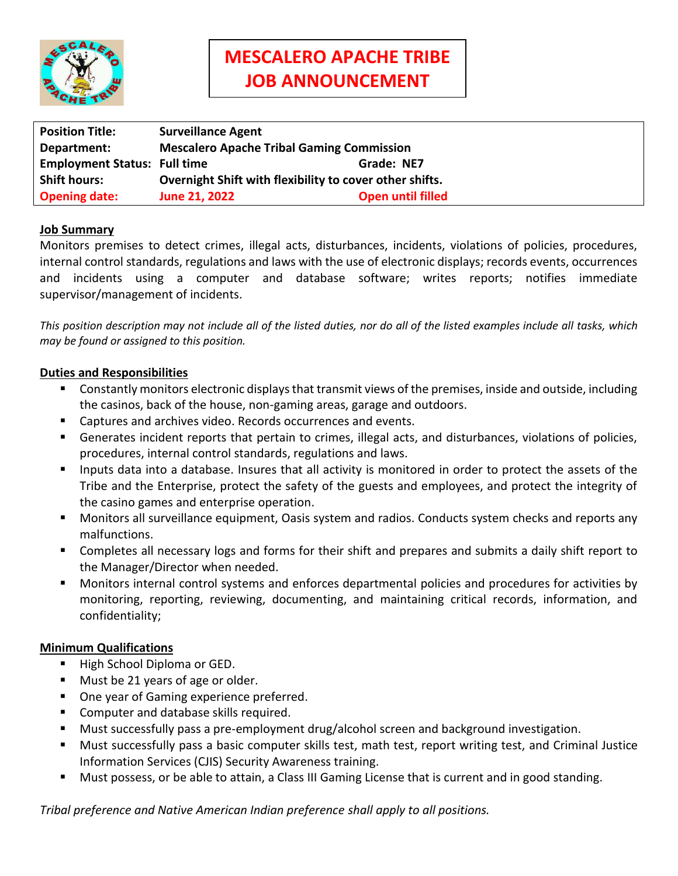

| <b>Position Title:</b>              | <b>Surveillance Agent</b>                               |                          |
|-------------------------------------|---------------------------------------------------------|--------------------------|
| Department:                         | <b>Mescalero Apache Tribal Gaming Commission</b>        |                          |
| <b>Employment Status: Full time</b> |                                                         | Grade: NE7               |
| <b>Shift hours:</b>                 | Overnight Shift with flexibility to cover other shifts. |                          |
| <b>Opening date:</b>                | <b>June 21, 2022</b>                                    | <b>Open until filled</b> |

## **Job Summary**

Monitors premises to detect crimes, illegal acts, disturbances, incidents, violations of policies, procedures, internal control standards, regulations and laws with the use of electronic displays; records events, occurrences and incidents using a computer and database software; writes reports; notifies immediate supervisor/management of incidents.

*This position description may not include all of the listed duties, nor do all of the listed examples include all tasks, which may be found or assigned to this position.*

### **Duties and Responsibilities**

- Constantly monitors electronic displays that transmit views of the premises, inside and outside, including the casinos, back of the house, non-gaming areas, garage and outdoors.
- Captures and archives video. Records occurrences and events.
- Generates incident reports that pertain to crimes, illegal acts, and disturbances, violations of policies, procedures, internal control standards, regulations and laws.
- Inputs data into a database. Insures that all activity is monitored in order to protect the assets of the Tribe and the Enterprise, protect the safety of the guests and employees, and protect the integrity of the casino games and enterprise operation.
- Monitors all surveillance equipment, Oasis system and radios. Conducts system checks and reports any malfunctions.
- Completes all necessary logs and forms for their shift and prepares and submits a daily shift report to the Manager/Director when needed.
- Monitors internal control systems and enforces departmental policies and procedures for activities by monitoring, reporting, reviewing, documenting, and maintaining critical records, information, and confidentiality;

### **Minimum Qualifications**

- High School Diploma or GED.
- **Must be 21 years of age or older.**
- One year of Gaming experience preferred.
- **Computer and database skills required.**
- Must successfully pass a pre-employment drug/alcohol screen and background investigation.
- Must successfully pass a basic computer skills test, math test, report writing test, and Criminal Justice Information Services (CJIS) Security Awareness training.
- Must possess, or be able to attain, a Class III Gaming License that is current and in good standing.

*Tribal preference and Native American Indian preference shall apply to all positions.*